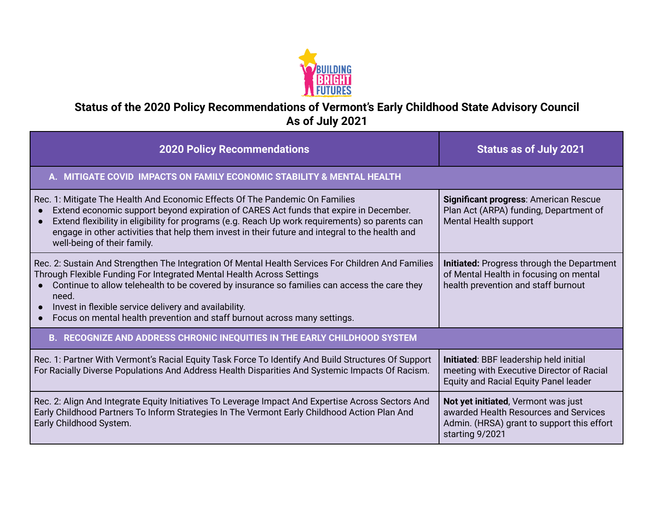

## **Status of the 2020 Policy Recommendations of Vermont's Early Childhood State Advisory Council As of July 2021**

| <b>2020 Policy Recommendations</b>                                                                                                                                                                                                                                                                                                                                                                                                                   | <b>Status as of July 2021</b>                                                                                                                 |
|------------------------------------------------------------------------------------------------------------------------------------------------------------------------------------------------------------------------------------------------------------------------------------------------------------------------------------------------------------------------------------------------------------------------------------------------------|-----------------------------------------------------------------------------------------------------------------------------------------------|
| A. MITIGATE COVID IMPACTS ON FAMILY ECONOMIC STABILITY & MENTAL HEALTH                                                                                                                                                                                                                                                                                                                                                                               |                                                                                                                                               |
| Rec. 1: Mitigate The Health And Economic Effects Of The Pandemic On Families<br>Extend economic support beyond expiration of CARES Act funds that expire in December.<br>$\bullet$<br>Extend flexibility in eligibility for programs (e.g. Reach Up work requirements) so parents can<br>engage in other activities that help them invest in their future and integral to the health and<br>well-being of their family.                              | Significant progress: American Rescue<br>Plan Act (ARPA) funding, Department of<br>Mental Health support                                      |
| Rec. 2: Sustain And Strengthen The Integration Of Mental Health Services For Children And Families<br>Through Flexible Funding For Integrated Mental Health Across Settings<br>Continue to allow telehealth to be covered by insurance so families can access the care they<br>need.<br>Invest in flexible service delivery and availability.<br>$\bullet$<br>Focus on mental health prevention and staff burnout across many settings.<br>$\bullet$ | <b>Initiated:</b> Progress through the Department<br>of Mental Health in focusing on mental<br>health prevention and staff burnout            |
| B. RECOGNIZE AND ADDRESS CHRONIC INEQUITIES IN THE EARLY CHILDHOOD SYSTEM                                                                                                                                                                                                                                                                                                                                                                            |                                                                                                                                               |
| Rec. 1: Partner With Vermont's Racial Equity Task Force To Identify And Build Structures Of Support<br>For Racially Diverse Populations And Address Health Disparities And Systemic Impacts Of Racism.                                                                                                                                                                                                                                               | Initiated: BBF leadership held initial<br>meeting with Executive Director of Racial<br><b>Equity and Racial Equity Panel leader</b>           |
| Rec. 2: Align And Integrate Equity Initiatives To Leverage Impact And Expertise Across Sectors And<br>Early Childhood Partners To Inform Strategies In The Vermont Early Childhood Action Plan And<br>Early Childhood System.                                                                                                                                                                                                                        | Not yet initiated, Vermont was just<br>awarded Health Resources and Services<br>Admin. (HRSA) grant to support this effort<br>starting 9/2021 |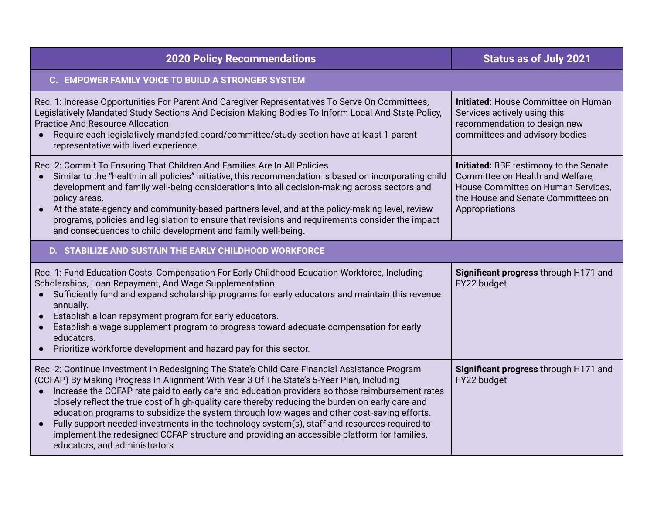| <b>2020 Policy Recommendations</b>                                                                                                                                                                                                                                                                                                                                                                                                                                                                                                                                                                                                                                                                                                               | <b>Status as of July 2021</b>                                                                                                                                                   |  |
|--------------------------------------------------------------------------------------------------------------------------------------------------------------------------------------------------------------------------------------------------------------------------------------------------------------------------------------------------------------------------------------------------------------------------------------------------------------------------------------------------------------------------------------------------------------------------------------------------------------------------------------------------------------------------------------------------------------------------------------------------|---------------------------------------------------------------------------------------------------------------------------------------------------------------------------------|--|
| C. EMPOWER FAMILY VOICE TO BUILD A STRONGER SYSTEM                                                                                                                                                                                                                                                                                                                                                                                                                                                                                                                                                                                                                                                                                               |                                                                                                                                                                                 |  |
| Rec. 1: Increase Opportunities For Parent And Caregiver Representatives To Serve On Committees,<br>Legislatively Mandated Study Sections And Decision Making Bodies To Inform Local And State Policy,<br><b>Practice And Resource Allocation</b><br>Require each legislatively mandated board/committee/study section have at least 1 parent<br>$\bullet$<br>representative with lived experience                                                                                                                                                                                                                                                                                                                                                | <b>Initiated: House Committee on Human</b><br>Services actively using this<br>recommendation to design new<br>committees and advisory bodies                                    |  |
| Rec. 2: Commit To Ensuring That Children And Families Are In All Policies<br>Similar to the "health in all policies" initiative, this recommendation is based on incorporating child<br>development and family well-being considerations into all decision-making across sectors and<br>policy areas.<br>At the state-agency and community-based partners level, and at the policy-making level, review<br>$\bullet$<br>programs, policies and legislation to ensure that revisions and requirements consider the impact<br>and consequences to child development and family well-being.                                                                                                                                                         | <b>Initiated:</b> BBF testimony to the Senate<br>Committee on Health and Welfare,<br>House Committee on Human Services.<br>the House and Senate Committees on<br>Appropriations |  |
| D. STABILIZE AND SUSTAIN THE EARLY CHILDHOOD WORKFORCE                                                                                                                                                                                                                                                                                                                                                                                                                                                                                                                                                                                                                                                                                           |                                                                                                                                                                                 |  |
| Rec. 1: Fund Education Costs, Compensation For Early Childhood Education Workforce, Including<br>Scholarships, Loan Repayment, And Wage Supplementation<br>Sufficiently fund and expand scholarship programs for early educators and maintain this revenue<br>$\bullet$<br>annually.<br>Establish a loan repayment program for early educators.<br>Establish a wage supplement program to progress toward adequate compensation for early<br>$\bullet$<br>educators.<br>Prioritize workforce development and hazard pay for this sector.<br>$\bullet$                                                                                                                                                                                            | Significant progress through H171 and<br>FY22 budget                                                                                                                            |  |
| Rec. 2: Continue Investment In Redesigning The State's Child Care Financial Assistance Program<br>(CCFAP) By Making Progress In Alignment With Year 3 Of The State's 5-Year Plan, Including<br>Increase the CCFAP rate paid to early care and education providers so those reimbursement rates<br>closely reflect the true cost of high-quality care thereby reducing the burden on early care and<br>education programs to subsidize the system through low wages and other cost-saving efforts.<br>Fully support needed investments in the technology system(s), staff and resources required to<br>$\bullet$<br>implement the redesigned CCFAP structure and providing an accessible platform for families,<br>educators, and administrators. | Significant progress through H171 and<br>FY22 budget                                                                                                                            |  |